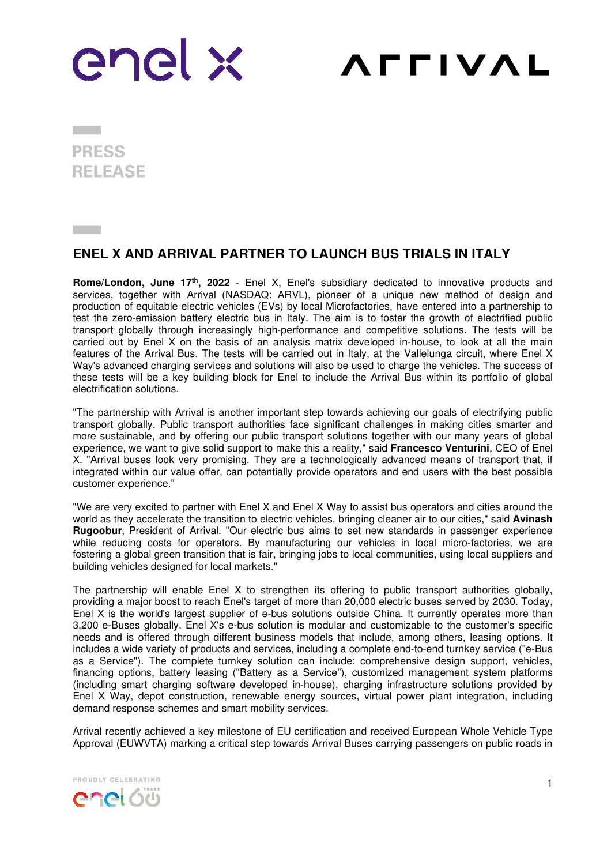

**AFFIVAL** 

**PRESS RELEASE** 

## **ENEL X AND ARRIVAL PARTNER TO LAUNCH BUS TRIALS IN ITALY**

**Rome/London, June 17th, 2022** - Enel X, Enel's subsidiary dedicated to innovative products and services, together with Arrival (NASDAQ: ARVL), pioneer of a unique new method of design and production of equitable electric vehicles (EVs) by local Microfactories, have entered into a partnership to test the zero-emission battery electric bus in Italy. The aim is to foster the growth of electrified public transport globally through increasingly high-performance and competitive solutions. The tests will be carried out by Enel X on the basis of an analysis matrix developed in-house, to look at all the main features of the Arrival Bus. The tests will be carried out in Italy, at the Vallelunga circuit, where Enel X Way's advanced charging services and solutions will also be used to charge the vehicles. The success of these tests will be a key building block for Enel to include the Arrival Bus within its portfolio of global electrification solutions.

"The partnership with Arrival is another important step towards achieving our goals of electrifying public transport globally. Public transport authorities face significant challenges in making cities smarter and more sustainable, and by offering our public transport solutions together with our many years of global experience, we want to give solid support to make this a reality," said **Francesco Venturini**, CEO of Enel X. "Arrival buses look very promising. They are a technologically advanced means of transport that, if integrated within our value offer, can potentially provide operators and end users with the best possible customer experience."

"We are very excited to partner with Enel X and Enel X Way to assist bus operators and cities around the world as they accelerate the transition to electric vehicles, bringing cleaner air to our cities," said **Avinash Rugoobur**, President of Arrival. "Our electric bus aims to set new standards in passenger experience while reducing costs for operators. By manufacturing our vehicles in local micro-factories, we are fostering a global green transition that is fair, bringing jobs to local communities, using local suppliers and building vehicles designed for local markets."

The partnership will enable Enel X to strengthen its offering to public transport authorities globally, providing a major boost to reach Enel's target of more than 20,000 electric buses served by 2030. Today, Enel X is the world's largest supplier of e-bus solutions outside China. It currently operates more than 3,200 e-Buses globally. Enel X's e-bus solution is modular and customizable to the customer's specific needs and is offered through different business models that include, among others, leasing options. It includes a wide variety of products and services, including a complete end-to-end turnkey service ("e-Bus as a Service"). The complete turnkey solution can include: comprehensive design support, vehicles, financing options, battery leasing ("Battery as a Service"), customized management system platforms (including smart charging software developed in-house), charging infrastructure solutions provided by Enel X Way, depot construction, renewable energy sources, virtual power plant integration, including demand response schemes and smart mobility services.

Arrival recently achieved a key milestone of EU certification and received European Whole Vehicle Type Approval (EUWVTA) marking a critical step towards Arrival Buses carrying passengers on public roads in

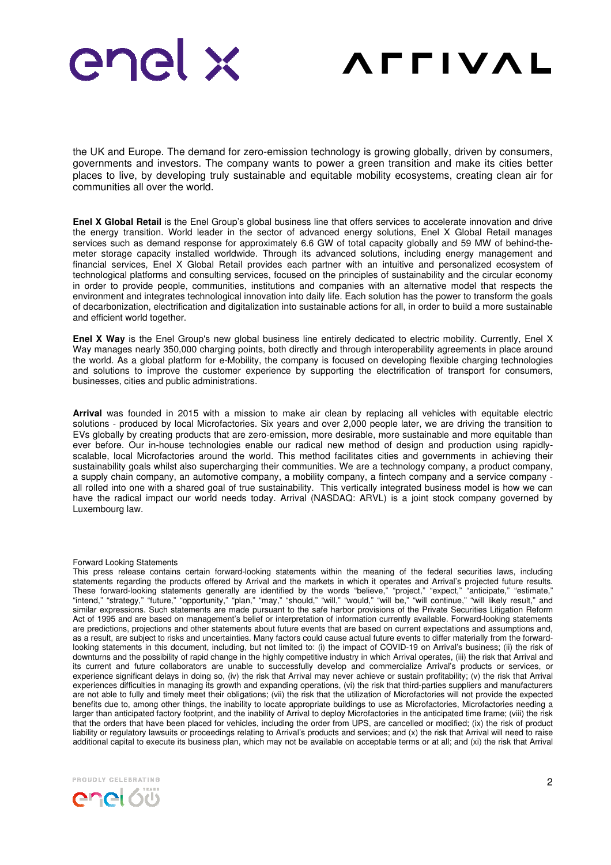



the UK and Europe. The demand for zero-emission technology is growing globally, driven by consumers, governments and investors. The company wants to power a green transition and make its cities better places to live, by developing truly sustainable and equitable mobility ecosystems, creating clean air for communities all over the world.

**Enel X Global Retail** is the Enel Group's global business line that offers services to accelerate innovation and drive the energy transition. World leader in the sector of advanced energy solutions, Enel X Global Retail manages services such as demand response for approximately 6.6 GW of total capacity globally and 59 MW of behind-themeter storage capacity installed worldwide. Through its advanced solutions, including energy management and financial services, Enel X Global Retail provides each partner with an intuitive and personalized ecosystem of technological platforms and consulting services, focused on the principles of sustainability and the circular economy in order to provide people, communities, institutions and companies with an alternative model that respects the environment and integrates technological innovation into daily life. Each solution has the power to transform the goals of decarbonization, electrification and digitalization into sustainable actions for all, in order to build a more sustainable and efficient world together.

**Enel X Way** is the Enel Group's new global business line entirely dedicated to electric mobility. Currently, Enel X Way manages nearly 350,000 charging points, both directly and through interoperability agreements in place around the world. As a global platform for e-Mobility, the company is focused on developing flexible charging technologies and solutions to improve the customer experience by supporting the electrification of transport for consumers, businesses, cities and public administrations.

**Arrival** was founded in 2015 with a mission to make air clean by replacing all vehicles with equitable electric solutions - produced by local Microfactories. Six years and over 2,000 people later, we are driving the transition to EVs globally by creating products that are zero-emission, more desirable, more sustainable and more equitable than ever before. Our in-house technologies enable our radical new method of design and production using rapidlyscalable, local Microfactories around the world. This method facilitates cities and governments in achieving their sustainability goals whilst also supercharging their communities. We are a technology company, a product company, a supply chain company, an automotive company, a mobility company, a fintech company and a service company all rolled into one with a shared goal of true sustainability. This vertically integrated business model is how we can have the radical impact our world needs today. Arrival (NASDAQ: ARVL) is a joint stock company governed by Luxembourg law.

## Forward Looking Statements

This press release contains certain forward-looking statements within the meaning of the federal securities laws, including statements regarding the products offered by Arrival and the markets in which it operates and Arrival's projected future results. These forward-looking statements generally are identified by the words "believe," "project," "expect," "anticipate," "estimate," "intend," "strategy," "future," "opportunity," "plan," "may," "should," "will," "would," "will be," "will continue," "will likely result," and similar expressions. Such statements are made pursuant to the safe harbor provisions of the Private Securities Litigation Reform Act of 1995 and are based on management's belief or interpretation of information currently available. Forward-looking statements are predictions, projections and other statements about future events that are based on current expectations and assumptions and, as a result, are subject to risks and uncertainties. Many factors could cause actual future events to differ materially from the forwardlooking statements in this document, including, but not limited to: (i) the impact of COVID-19 on Arrival's business; (ii) the risk of downturns and the possibility of rapid change in the highly competitive industry in which Arrival operates, (iii) the risk that Arrival and its current and future collaborators are unable to successfully develop and commercialize Arrival's products or services, or experience significant delays in doing so, (iv) the risk that Arrival may never achieve or sustain profitability; (v) the risk that Arrival experiences difficulties in managing its growth and expanding operations, (vi) the risk that third-parties suppliers and manufacturers are not able to fully and timely meet their obligations; (vii) the risk that the utilization of Microfactories will not provide the expected benefits due to, among other things, the inability to locate appropriate buildings to use as Microfactories, Microfactories needing a larger than anticipated factory footprint, and the inability of Arrival to deploy Microfactories in the anticipated time frame; (viii) the risk that the orders that have been placed for vehicles, including the order from UPS, are cancelled or modified; (ix) the risk of product liability or regulatory lawsuits or proceedings relating to Arrival's products and services; and (x) the risk that Arrival will need to raise additional capital to execute its business plan, which may not be available on acceptable terms or at all; and (xi) the risk that Arrival